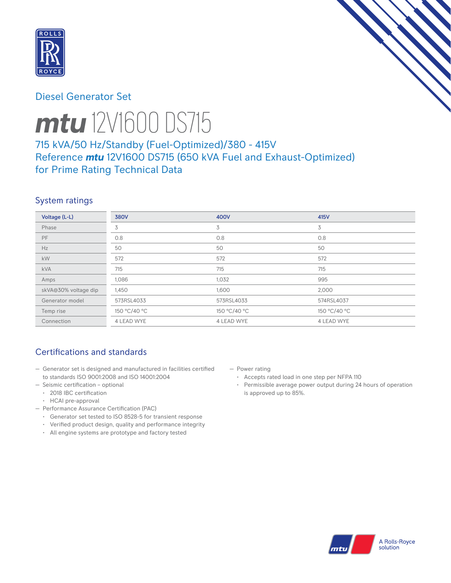

## Diesel Generator Set



# *mtu* 12V1600 DS715

# 715 kVA/50 Hz/Standby (Fuel-Optimized)/380 - 415V Reference *mtu* 12V1600 DS715 (650 kVA Fuel and Exhaust-Optimized) for Prime Rating Technical Data

## System ratings

| Voltage (L-L)        | <b>380V</b>  | 400V         | 415V         |
|----------------------|--------------|--------------|--------------|
| Phase                | 3            | 3            | 3            |
| <b>PF</b>            | 0.8          | 0.8          | 0.8          |
| Hz                   | 50           | 50           | 50           |
| <b>kW</b>            | 572          | 572          | 572          |
| <b>kVA</b>           | 715          | 715          | 715          |
| Amps                 | 1,086        | 1,032        | 995          |
| skVA@30% voltage dip | 1,450        | 1,600        | 2,000        |
| Generator model      | 573RSL4033   | 573RSL4033   | 574RSL4037   |
| Temp rise            | 150 °C/40 °C | 150 °C/40 °C | 150 °C/40 °C |
| Connection           | 4 LEAD WYE   | 4 LEAD WYE   | 4 LEAD WYE   |

# Certifications and standards

- Generator set is designed and manufactured in facilities certified to standards ISO 9001:2008 and ISO 14001:2004
- Seismic certification optional
	- 2018 IBC certification
	- HCAI pre-approval
- Performance Assurance Certification (PAC)
	- Generator set tested to ISO 8528-5 for transient response
	- Verified product design, quality and performance integrity
	- All engine systems are prototype and factory tested
- Power rating
	- Accepts rated load in one step per NFPA 110
	- Permissible average power output during 24 hours of operation is approved up to 85%.

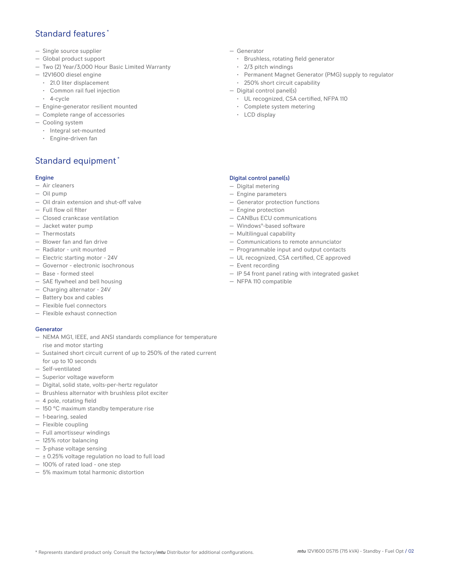## Standard features \*

- Single source supplier
- Global product support
- Two (2) Year/3,000 Hour Basic Limited Warranty
- 12V1600 diesel engine
	- 21.0 liter displacement
	- Common rail fuel injection
	- 4-cycle
- Engine-generator resilient mounted
- Complete range of accessories
- Cooling system
- Integral set-mounted
- Engine-driven fan

# Standard equipment \*

#### Engine

- Air cleaners
- Oil pump
- Oil drain extension and shut-off valve
- Full flow oil filter
- Closed crankcase ventilation
- Jacket water pump
- Thermostats
- Blower fan and fan drive
- Radiator unit mounted
- Electric starting motor 24V
- Governor electronic isochronous
- Base formed steel
- SAE flywheel and bell housing
- Charging alternator 24V
- Battery box and cables
- Flexible fuel connectors
- Flexible exhaust connection

#### Generator

- NEMA MG1, IEEE, and ANSI standards compliance for temperature rise and motor starting
- Sustained short circuit current of up to 250% of the rated current for up to 10 seconds
- Self-ventilated
- Superior voltage waveform
- Digital, solid state, volts-per-hertz regulator
- Brushless alternator with brushless pilot exciter
- 4 pole, rotating field
- 150 °C maximum standby temperature rise
- 1-bearing, sealed
- Flexible coupling
- Full amortisseur windings
- 125% rotor balancing
- 3-phase voltage sensing
- $\pm$  0.25% voltage regulation no load to full load
- 100% of rated load one step
- 5% maximum total harmonic distortion
- Generator
	- Brushless, rotating field generator
	- 2/3 pitch windings
	- Permanent Magnet Generator (PMG) supply to regulator
	- 250% short circuit capability
- Digital control panel(s)
	- UL recognized, CSA certified, NFPA 110
	- Complete system metering
	- LCD display

### Digital control panel(s)

- Digital metering
- Engine parameters
- Generator protection functions
- Engine protection
- CANBus ECU communications
- Windows®-based software
- Multilingual capability
- Communications to remote annunciator
- Programmable input and output contacts
- UL recognized, CSA certified, CE approved
- Event recording
- IP 54 front panel rating with integrated gasket
- NFPA 110 compatible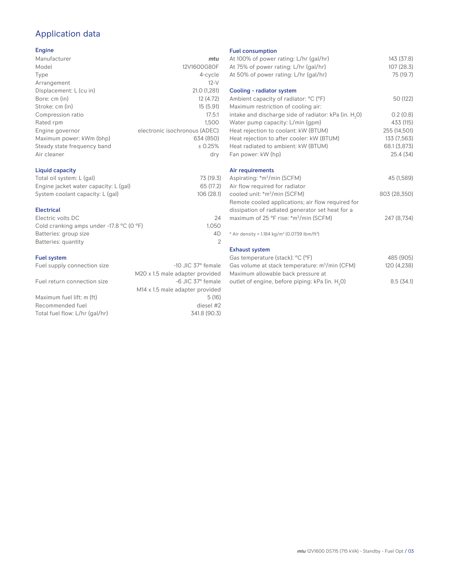# Application data

#### Engine

| Manufacturer                | mtu                           |
|-----------------------------|-------------------------------|
| Model                       | 12V1600G80F                   |
| Type                        | 4-cycle                       |
| Arrangement                 | $12-V$                        |
| Displacement: L (cu in)     | 21.0 (1,281)                  |
| Bore: cm (in)               | 12 (4.72)                     |
| Stroke: cm (in)             | 15(5.91)                      |
| Compression ratio           | 17.5:1                        |
| Rated rpm                   | 1.500                         |
| Engine governor             | electronic isochronous (ADEC) |
| Maximum power: kWm (bhp)    | 634 (850)                     |
| Steady state frequency band | ± 0.25%                       |
| Air cleaner                 | dry                           |
|                             |                               |

## Liquid capacity

| Total oil system: L (gal)             | 73 (19.3)  |
|---------------------------------------|------------|
| Engine jacket water capacity: L (gal) | 65 (17.2)  |
| System coolant capacity: L (gal)      | 106 (28.1) |

#### Electrical

| Electric volts DC                                            | 24    |
|--------------------------------------------------------------|-------|
| Cold cranking amps under -17.8 $^{\circ}$ C (O $^{\circ}$ F) | 1.050 |
| Batteries: group size                                        | 4D    |
| Batteries: quantity                                          |       |
|                                                              |       |

#### Fuel system

| Fuel supply connection size    | $-10$ JIC 37 $\degree$ female               |
|--------------------------------|---------------------------------------------|
|                                | M20 x 1.5 male adapter provided             |
| Fuel return connection size    | -6 JIC 37° female                           |
|                                | M <sub>14</sub> x 1.5 male adapter provided |
| Maximum fuel lift: m (ft)      | 5(16)                                       |
| Recommended fuel               | diesel #2                                   |
| Total fuel flow: L/hr (gal/hr) | 341.8 (90.3)                                |
|                                |                                             |

#### Fuel consumption

| <b>FUBL CONSUMPTION</b>                                              |              |
|----------------------------------------------------------------------|--------------|
| At 100% of power rating: L/hr (gal/hr)                               | 143 (37.8)   |
| At 75% of power rating: L/hr (gal/hr)                                | 107(28.3)    |
| At 50% of power rating: L/hr (gal/hr)                                | 75 (19.7)    |
|                                                                      |              |
| Cooling - radiator system                                            |              |
| Ambient capacity of radiator: °C (°F)                                | 50 (122)     |
| Maximum restriction of cooling air:                                  |              |
| intake and discharge side of radiator: kPa (in. H <sub>2</sub> 0)    | 0.2(0.8)     |
| Water pump capacity: L/min (gpm)                                     | 433 (115)    |
| Heat rejection to coolant: kW (BTUM)                                 | 255 (14,501) |
| Heat rejection to after cooler: kW (BTUM)                            | 133 (7,563)  |
| Heat radiated to ambient: kW (BTUM)                                  | 68.1 (3,873) |
| Fan power: kW (hp)                                                   | 25.4(34)     |
|                                                                      |              |
| Air requirements                                                     |              |
| Aspirating: *m <sup>3</sup> /min (SCFM)                              | 45 (1,589)   |
| Air flow required for radiator                                       |              |
| cooled unit: *m <sup>3</sup> /min (SCFM)                             | 803 (28,350) |
| Remote cooled applications; air flow required for                    |              |
| dissipation of radiated generator set heat for a                     |              |
| maximum of 25 °F rise: *m <sup>3</sup> /min (SCFM)                   | 247 (8,734)  |
| * Air density = $1.184 \text{ kg/m}^3$ (0.0739 lbm/ft <sup>3</sup> ) |              |
|                                                                      |              |
| <b>Exhaust system</b>                                                |              |
| Gas temperature (stack): °C (°F)                                     | 485 (905)    |
| Gas volume at stack temperature: m <sup>3</sup> /min (CFM)           | 120 (4,238)  |
| Maximum allowable back pressure at                                   |              |

outlet of engine, before piping: kPa (in.  $\mathsf{H}_{_{2}}$ 

0) 8.5 (34.1)